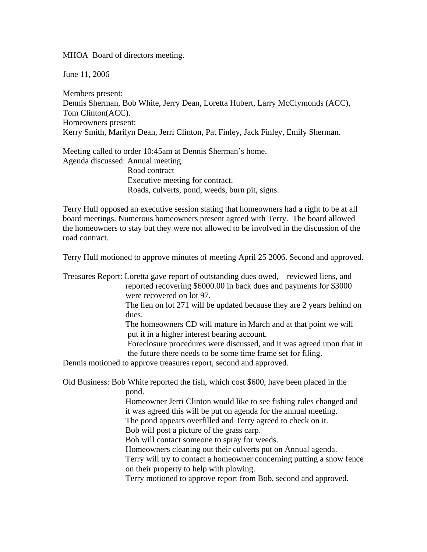MHOA Board of directors meeting.

June 11, 2006

Members present: Dennis Sherman, Bob White, Jerry Dean, Loretta Hubert, Larry McClymonds (ACC), Tom Clinton(ACC). Homeowners present: Kerry Smith, Marilyn Dean, Jerri Clinton, Pat Finley, Jack Finley, Emily Sherman.

Meeting called to order 10:45am at Dennis Sherman's home. Agenda discussed: Annual meeting.

> Road contract Executive meeting for contract. Roads, culverts, pond, weeds, burn pit, signs.

Terry Hull opposed an executive session stating that homeowners had a right to be at all board meetings. Numerous homeowners present agreed with Terry. The board allowed the homeowners to stay but they were not allowed to be involved in the discussion of the road contract.

Terry Hull motioned to approve minutes of meeting April 25 2006. Second and approved.

Treasures Report: Loretta gave report of outstanding dues owed, reviewed liens, and reported recovering \$6000.00 in back dues and payments for \$3000 were recovered on lot 97.

> The lien on lot 271 will be updated because they are 2 years behind on dues.

 The homeowners CD will mature in March and at that point we will put it in a higher interest bearing account.

 Foreclosure procedures were discussed, and it was agreed upon that in the future there needs to be some time frame set for filing.

Dennis motioned to approve treasures report, second and approved.

Old Business: Bob White reported the fish, which cost \$600, have been placed in the pond.

> Homeowner Jerri Clinton would like to see fishing rules changed and it was agreed this will be put on agenda for the annual meeting. The pond appears overfilled and Terry agreed to check on it.

Bob will post a picture of the grass carp.

Bob will contact someone to spray for weeds.

Homeowners cleaning out their culverts put on Annual agenda.

 Terry will try to contact a homeowner concerning putting a snow fence on their property to help with plowing.

Terry motioned to approve report from Bob, second and approved.